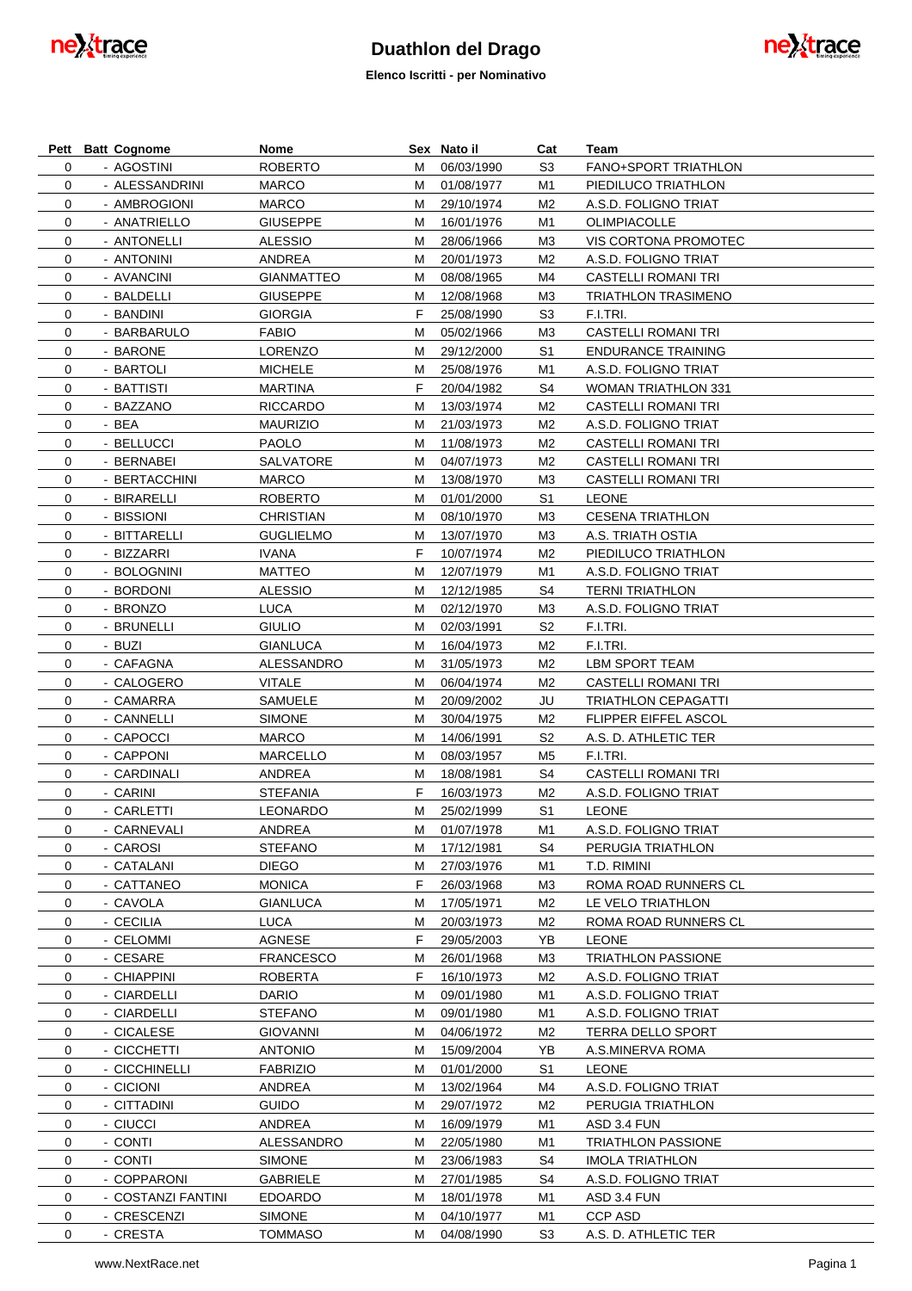

**Elenco Iscritti - per Nominativo**

|             | Pett Batt Cognome  | Nome              |    | Sex Nato il  | Cat            | Team                        |
|-------------|--------------------|-------------------|----|--------------|----------------|-----------------------------|
| $\mathbf 0$ | - AGOSTINI         | <b>ROBERTO</b>    | м  | 06/03/1990   | S <sub>3</sub> | <b>FANO+SPORT TRIATHLON</b> |
| $\mathbf 0$ | - ALESSANDRINI     | <b>MARCO</b>      | м  | 01/08/1977   | M1             | PIEDILUCO TRIATHLON         |
| 0           | - AMBROGIONI       | <b>MARCO</b>      | м  | 29/10/1974   | M2             | A.S.D. FOLIGNO TRIAT        |
| 0           | - ANATRIELLO       | <b>GIUSEPPE</b>   | м  | 16/01/1976   | M1             | OLIMPIACOLLE                |
| 0           | - ANTONELLI        | <b>ALESSIO</b>    | м  | 28/06/1966   | M3             | VIS CORTONA PROMOTEC        |
| 0           | - ANTONINI         | ANDREA            | м  | 20/01/1973   | M2             | A.S.D. FOLIGNO TRIAT        |
| 0           | - AVANCINI         | <b>GIANMATTEO</b> | м  | 08/08/1965   | M4             | <b>CASTELLI ROMANI TRI</b>  |
| 0           | - BALDELLI         | <b>GIUSEPPE</b>   | м  | 12/08/1968   | M3             | <b>TRIATHLON TRASIMENO</b>  |
| 0           | - BANDINI          | <b>GIORGIA</b>    | F  | 25/08/1990   | S <sub>3</sub> | F.I.TRI.                    |
|             |                    | <b>FABIO</b>      |    |              |                |                             |
| 0           | - BARBARULO        |                   | м  | 05/02/1966   | M3             | <b>CASTELLI ROMANI TRI</b>  |
| 0           | - BARONE           | <b>LORENZO</b>    | м  | 29/12/2000   | S <sub>1</sub> | <b>ENDURANCE TRAINING</b>   |
| 0           | - BARTOLI          | <b>MICHELE</b>    | м  | 25/08/1976   | M1             | A.S.D. FOLIGNO TRIAT        |
| 0           | - BATTISTI         | <b>MARTINA</b>    | F  | 20/04/1982   | S4             | <b>WOMAN TRIATHLON 331</b>  |
| 0           | - BAZZANO          | <b>RICCARDO</b>   | м  | 13/03/1974   | M2             | <b>CASTELLI ROMANI TRI</b>  |
| 0           | - BEA              | <b>MAURIZIO</b>   | м  | 21/03/1973   | M2             | A.S.D. FOLIGNO TRIAT        |
| 0           | - BELLUCCI         | <b>PAOLO</b>      | м  | 11/08/1973   | M2             | <b>CASTELLI ROMANI TRI</b>  |
| 0           | - BERNABEI         | SALVATORE         | м  | 04/07/1973   | M2             | <b>CASTELLI ROMANI TRI</b>  |
| 0           | - BERTACCHINI      | <b>MARCO</b>      | м  | 13/08/1970   | M3             | <b>CASTELLI ROMANI TRI</b>  |
| $\mathbf 0$ | - BIRARELLI        | <b>ROBERTO</b>    | м  | 01/01/2000   | S <sub>1</sub> | <b>LEONE</b>                |
| 0           | - BISSIONI         | <b>CHRISTIAN</b>  | м  | 08/10/1970   | M3             | <b>CESENA TRIATHLON</b>     |
| 0           | - BITTARELLI       | <b>GUGLIELMO</b>  | м  | 13/07/1970   | M3             | A.S. TRIATH OSTIA           |
| 0           | - BIZZARRI         | <b>IVANA</b>      | F  | 10/07/1974   | M2             | PIEDILUCO TRIATHLON         |
| $\mathbf 0$ | - BOLOGNINI        | <b>MATTEO</b>     | м  | 12/07/1979   | M1             | A.S.D. FOLIGNO TRIAT        |
| 0           | - BORDONI          | <b>ALESSIO</b>    | м  | 12/12/1985   | S4             | <b>TERNI TRIATHLON</b>      |
| 0           | - BRONZO           | <b>LUCA</b>       | м  | 02/12/1970   | M3             | A.S.D. FOLIGNO TRIAT        |
| 0           | - BRUNELLI         | <b>GIULIO</b>     | м  | 02/03/1991   | S <sub>2</sub> | F.I.TRI.                    |
| 0           | - BUZI             | <b>GIANLUCA</b>   | м  | 16/04/1973   | M2             | F.I.TRI.                    |
|             |                    |                   |    |              |                |                             |
| 0           | - CAFAGNA          | ALESSANDRO        | м  | 31/05/1973   | M2             | LBM SPORT TEAM              |
| 0           | - CALOGERO         | <b>VITALE</b>     | м  | 06/04/1974   | M2             | CASTELLI ROMANI TRI         |
| 0           | - CAMARRA          | SAMUELE           | м  | 20/09/2002   | JU             | <b>TRIATHLON CEPAGATTI</b>  |
| 0           | - CANNELLI         | <b>SIMONE</b>     | м  | 30/04/1975   | M2             | <b>FLIPPER EIFFEL ASCOL</b> |
| 0           | - CAPOCCI          | <b>MARCO</b>      | м  | 14/06/1991   | S <sub>2</sub> | A.S. D. ATHLETIC TER        |
| 0           | - CAPPONI          | <b>MARCELLO</b>   | м  | 08/03/1957   | M <sub>5</sub> | F.I.TRI.                    |
| 0           | - CARDINALI        | ANDREA            | м  | 18/08/1981   | S4             | <b>CASTELLI ROMANI TRI</b>  |
| 0           | - CARINI           | <b>STEFANIA</b>   | F  | 16/03/1973   | M2             | A.S.D. FOLIGNO TRIAT        |
| 0           | - CARLETTI         | <b>LEONARDO</b>   | м  | 25/02/1999   | S <sub>1</sub> | <b>LEONE</b>                |
| 0           | - CARNEVALI        | ANDREA            |    | M 01/07/1978 | M1             | A.S.D. FOLIGNO TRIAT        |
| 0           | - CAROSI           | <b>STEFANO</b>    | M  | 17/12/1981   | S4             | PERUGIA TRIATHLON           |
| 0           | - CATALANI         | <b>DIEGO</b>      | М  | 27/03/1976   | M1             | T.D. RIMINI                 |
| 0           | - CATTANEO         | <b>MONICA</b>     | F. | 26/03/1968   | MЗ             | ROMA ROAD RUNNERS CL        |
| 0           | - CAVOLA           | <b>GIANLUCA</b>   | м  | 17/05/1971   | M2             | LE VELO TRIATHLON           |
| 0           | - CECILIA          | <b>LUCA</b>       | м  | 20/03/1973   | M2             | ROMA ROAD RUNNERS CL        |
| 0           | - CELOMMI          | AGNESE            | F. | 29/05/2003   | YB             | <b>LEONE</b>                |
| 0           | - CESARE           | <b>FRANCESCO</b>  | м  | 26/01/1968   | MЗ             | <b>TRIATHLON PASSIONE</b>   |
| 0           | - CHIAPPINI        | <b>ROBERTA</b>    | F. | 16/10/1973   | M2             | A.S.D. FOLIGNO TRIAT        |
| 0           | - CIARDELLI        | <b>DARIO</b>      | м  | 09/01/1980   | M1             | A.S.D. FOLIGNO TRIAT        |
| 0           | - CIARDELLI        | <b>STEFANO</b>    | м  | 09/01/1980   | M1             | A.S.D. FOLIGNO TRIAT        |
| 0           | - CICALESE         | <b>GIOVANNI</b>   | м  | 04/06/1972   | M2             | TERRA DELLO SPORT           |
| 0           | - CICCHETTI        | <b>ANTONIO</b>    | м  | 15/09/2004   | YB             | A.S.MINERVA ROMA            |
|             |                    |                   |    |              |                |                             |
| 0           | - CICCHINELLI      | <b>FABRIZIO</b>   | м  | 01/01/2000   | S <sub>1</sub> | <b>LEONE</b>                |
| 0           | - CICIONI          | ANDREA            | м  | 13/02/1964   | M4             | A.S.D. FOLIGNO TRIAT        |
| $\mathbf 0$ | - CITTADINI        | <b>GUIDO</b>      | м  | 29/07/1972   | M2             | PERUGIA TRIATHLON           |
| 0           | - CIUCCI           | ANDREA            | м  | 16/09/1979   | M1             | ASD 3.4 FUN                 |
| 0           | - CONTI            | ALESSANDRO        | м  | 22/05/1980   | M1             | <b>TRIATHLON PASSIONE</b>   |
| 0           | - CONTI            | SIMONE            | м  | 23/06/1983   | S4             | <b>IMOLA TRIATHLON</b>      |
| 0           | - COPPARONI        | <b>GABRIELE</b>   | м  | 27/01/1985   | S4             | A.S.D. FOLIGNO TRIAT        |
| 0           | - COSTANZI FANTINI | <b>EDOARDO</b>    | м  | 18/01/1978   | M1             | ASD 3.4 FUN                 |
| 0           | - CRESCENZI        | <b>SIMONE</b>     | м  | 04/10/1977   | M1             | CCP ASD                     |
| 0           | - CRESTA           | TOMMASO           | м  | 04/08/1990   | S <sub>3</sub> | A.S. D. ATHLETIC TER        |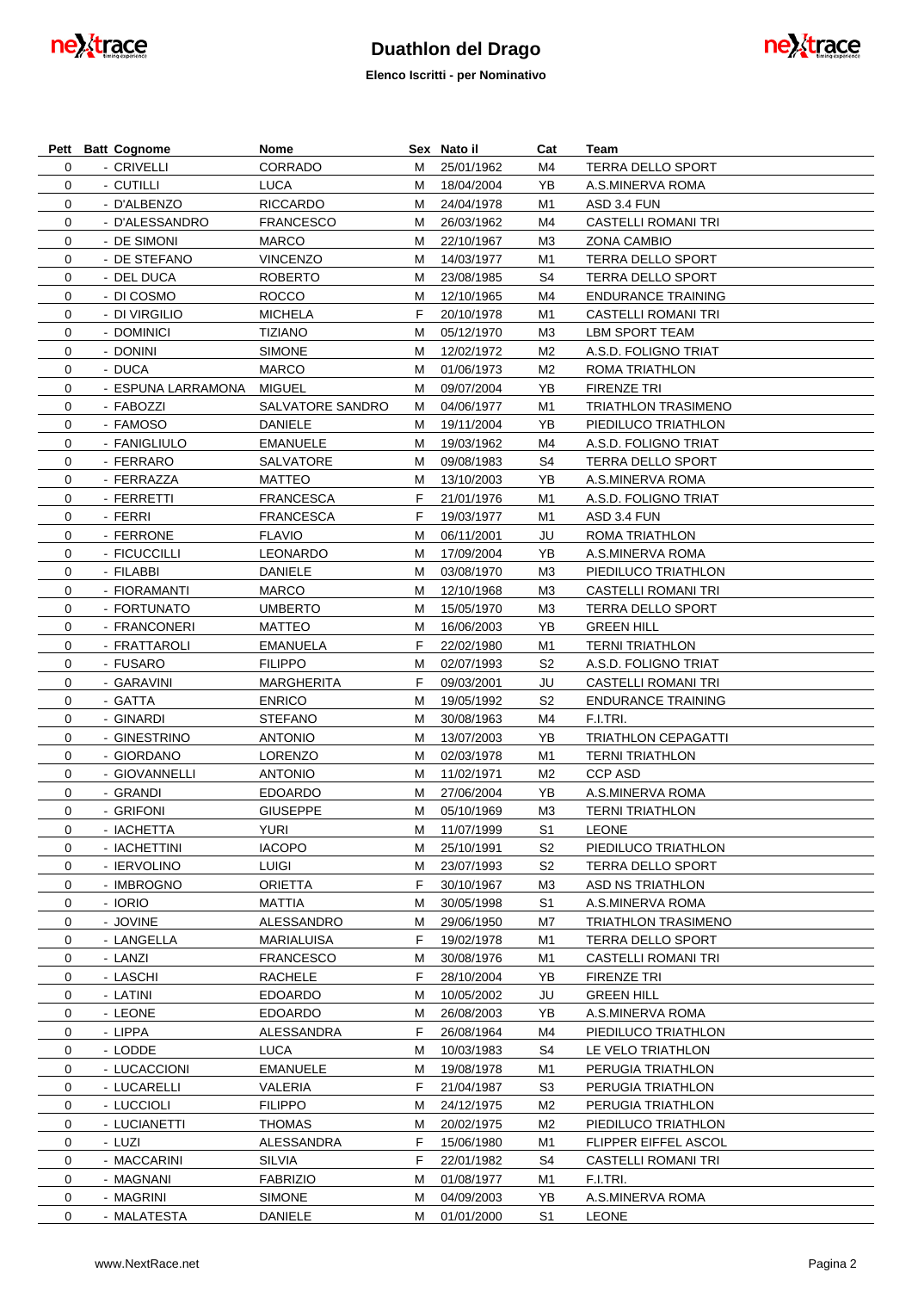

**Elenco Iscritti - per Nominativo**



|             | Pett Batt Cognome  | Nome              |   | Sex Nato il | Cat            | Team                       |
|-------------|--------------------|-------------------|---|-------------|----------------|----------------------------|
| 0           | - CRIVELLI         | CORRADO           | м | 25/01/1962  | M4             | TERRA DELLO SPORT          |
| $\mathbf 0$ | - CUTILLI          | LUCA              | м | 18/04/2004  | YB             | A.S.MINERVA ROMA           |
| 0           | - D'ALBENZO        | <b>RICCARDO</b>   | м | 24/04/1978  | M1             | ASD 3.4 FUN                |
| 0           | - D'ALESSANDRO     | <b>FRANCESCO</b>  | м | 26/03/1962  | M4             | <b>CASTELLI ROMANI TRI</b> |
| 0           | - DE SIMONI        | <b>MARCO</b>      | м | 22/10/1967  | MЗ             | ZONA CAMBIO                |
| 0           | - DE STEFANO       | <b>VINCENZO</b>   | м | 14/03/1977  | M1             | TERRA DELLO SPORT          |
| 0           | - DEL DUCA         | <b>ROBERTO</b>    | м | 23/08/1985  | S4             | TERRA DELLO SPORT          |
| 0           | - DI COSMO         | <b>ROCCO</b>      | м | 12/10/1965  | M4             | <b>ENDURANCE TRAINING</b>  |
| 0           | - DI VIRGILIO      | <b>MICHELA</b>    | F | 20/10/1978  | M1             | <b>CASTELLI ROMANI TRI</b> |
| 0           | - DOMINICI         | <b>TIZIANO</b>    | М | 05/12/1970  | MЗ             | LBM SPORT TEAM             |
| 0           | - DONINI           | <b>SIMONE</b>     | М | 12/02/1972  | M2             | A.S.D. FOLIGNO TRIAT       |
| 0           | - DUCA             | <b>MARCO</b>      | М | 01/06/1973  | M2             | ROMA TRIATHLON             |
| 0           | - ESPUNA LARRAMONA | <b>MIGUEL</b>     | М | 09/07/2004  | YB             | <b>FIRENZE TRI</b>         |
| 0           | - FABOZZI          | SALVATORE SANDRO  | М | 04/06/1977  | M1             | <b>TRIATHLON TRASIMENO</b> |
| 0           | - FAMOSO           | DANIELE           | М | 19/11/2004  | YB             | PIEDILUCO TRIATHLON        |
| 0           | - FANIGLIULO       | <b>EMANUELE</b>   | М | 19/03/1962  | M4             | A.S.D. FOLIGNO TRIAT       |
| 0           | - FERRARO          | SALVATORE         | М | 09/08/1983  | S4             | TERRA DELLO SPORT          |
| 0           | - FERRAZZA         | <b>MATTEO</b>     | М | 13/10/2003  | YB             | A.S.MINERVA ROMA           |
| 0           | - FERRETTI         | <b>FRANCESCA</b>  | F | 21/01/1976  | M1             | A.S.D. FOLIGNO TRIAT       |
| 0           | - FERRI            | <b>FRANCESCA</b>  | F | 19/03/1977  | M1             | ASD 3.4 FUN                |
| 0           | - FERRONE          | <b>FLAVIO</b>     | М | 06/11/2001  | JU             | ROMA TRIATHLON             |
| 0           | - FICUCCILLI       | <b>LEONARDO</b>   | М | 17/09/2004  | YB             | A.S.MINERVA ROMA           |
| 0           | - FILABBI          | <b>DANIELE</b>    | М | 03/08/1970  | MЗ             | PIEDILUCO TRIATHLON        |
|             |                    |                   |   |             |                |                            |
| 0           | - FIORAMANTI       | <b>MARCO</b>      | М | 12/10/1968  | MЗ             | CASTELLI ROMANI TRI        |
| 0           | - FORTUNATO        | <b>UMBERTO</b>    | М | 15/05/1970  | MЗ             | TERRA DELLO SPORT          |
| 0           | - FRANCONERI       | <b>MATTEO</b>     | М | 16/06/2003  | YB             | <b>GREEN HILL</b>          |
| 0           | - FRATTAROLI       | <b>EMANUELA</b>   | F | 22/02/1980  | M1             | <b>TERNI TRIATHLON</b>     |
| 0           | - FUSARO           | <b>FILIPPO</b>    | М | 02/07/1993  | S <sub>2</sub> | A.S.D. FOLIGNO TRIAT       |
| 0           | - GARAVINI         | <b>MARGHERITA</b> | F | 09/03/2001  | JU             | CASTELLI ROMANI TRI        |
| 0           | - GATTA            | <b>ENRICO</b>     | М | 19/05/1992  | S <sub>2</sub> | <b>ENDURANCE TRAINING</b>  |
| 0           | - GINARDI          | <b>STEFANO</b>    | М | 30/08/1963  | M4             | F.I.TRI.                   |
| 0           | - GINESTRINO       | <b>ANTONIO</b>    | М | 13/07/2003  | YB             | <b>TRIATHLON CEPAGATTI</b> |
| 0           | - GIORDANO         | LORENZO           | М | 02/03/1978  | M1             | <b>TERNI TRIATHLON</b>     |
| 0           | - GIOVANNELLI      | <b>ANTONIO</b>    | М | 11/02/1971  | M2             | <b>CCP ASD</b>             |
| 0           | - GRANDI           | <b>EDOARDO</b>    | М | 27/06/2004  | YB             | A.S.MINERVA ROMA           |
| 0           | - GRIFONI          | <b>GIUSEPPE</b>   | м | 05/10/1969  | MЗ             | <b>TERNI TRIATHLON</b>     |
| 0           | - IACHETTA         | <b>YURI</b>       | M | 11/07/1999  | S <sub>1</sub> | <b>LEONE</b>               |
| 0           | - IACHETTINI       | <b>IACOPO</b>     | м | 25/10/1991  | S2             | PIEDILUCO TRIATHLON        |
| 0           | - IERVOLINO        | LUIGI             | м | 23/07/1993  | S <sub>2</sub> | TERRA DELLO SPORT          |
| 0           | - IMBROGNO         | ORIETTA           | F | 30/10/1967  | MЗ             | ASD NS TRIATHLON           |
| 0           | - IORIO            | MATTIA            | М | 30/05/1998  | S1             | A.S.MINERVA ROMA           |
| 0           | - JOVINE           | ALESSANDRO        | M | 29/06/1950  | M7             | <b>TRIATHLON TRASIMENO</b> |
| 0           | - LANGELLA         | MARIALUISA        | F | 19/02/1978  | M1             | TERRA DELLO SPORT          |
| 0           | - LANZI            | FRANCESCO         | M | 30/08/1976  | M1             | CASTELLI ROMANI TRI        |
| 0           | - LASCHI           | <b>RACHELE</b>    | F | 28/10/2004  | YB             | FIRENZE TRI                |
| 0           | - LATINI           | EDOARDO           | М | 10/05/2002  | JU             | <b>GREEN HILL</b>          |
| 0           | - LEONE            | EDOARDO           | M | 26/08/2003  | YB             | A.S.MINERVA ROMA           |
| 0           | - LIPPA            | ALESSANDRA        | F | 26/08/1964  | M4             | PIEDILUCO TRIATHLON        |
| 0           | - LODDE            | LUCA              | м | 10/03/1983  | S4             | LE VELO TRIATHLON          |
| 0           | - LUCACCIONI       | EMANUELE          | M | 19/08/1978  | M1             | PERUGIA TRIATHLON          |
| 0           | - LUCARELLI        | VALERIA           | F | 21/04/1987  | S3             | PERUGIA TRIATHLON          |
| 0           | - LUCCIOLI         | <b>FILIPPO</b>    | М | 24/12/1975  | M2             | PERUGIA TRIATHLON          |
| 0           | - LUCIANETTI       | THOMAS            | M | 20/02/1975  | M2             | PIEDILUCO TRIATHLON        |
| 0           | - LUZI             | ALESSANDRA        | F | 15/06/1980  | M1             | FLIPPER EIFFEL ASCOL       |
| 0           | - MACCARINI        | SILVIA            | F | 22/01/1982  | S4             | CASTELLI ROMANI TRI        |
| 0           | - MAGNANI          | <b>FABRIZIO</b>   | М | 01/08/1977  | M1             | F.I.TRI.                   |
| 0           | - MAGRINI          | <b>SIMONE</b>     | М | 04/09/2003  | YB             | A.S.MINERVA ROMA           |
| 0           | - MALATESTA        | DANIELE           | м | 01/01/2000  | S1             | <b>LEONE</b>               |
|             |                    |                   |   |             |                |                            |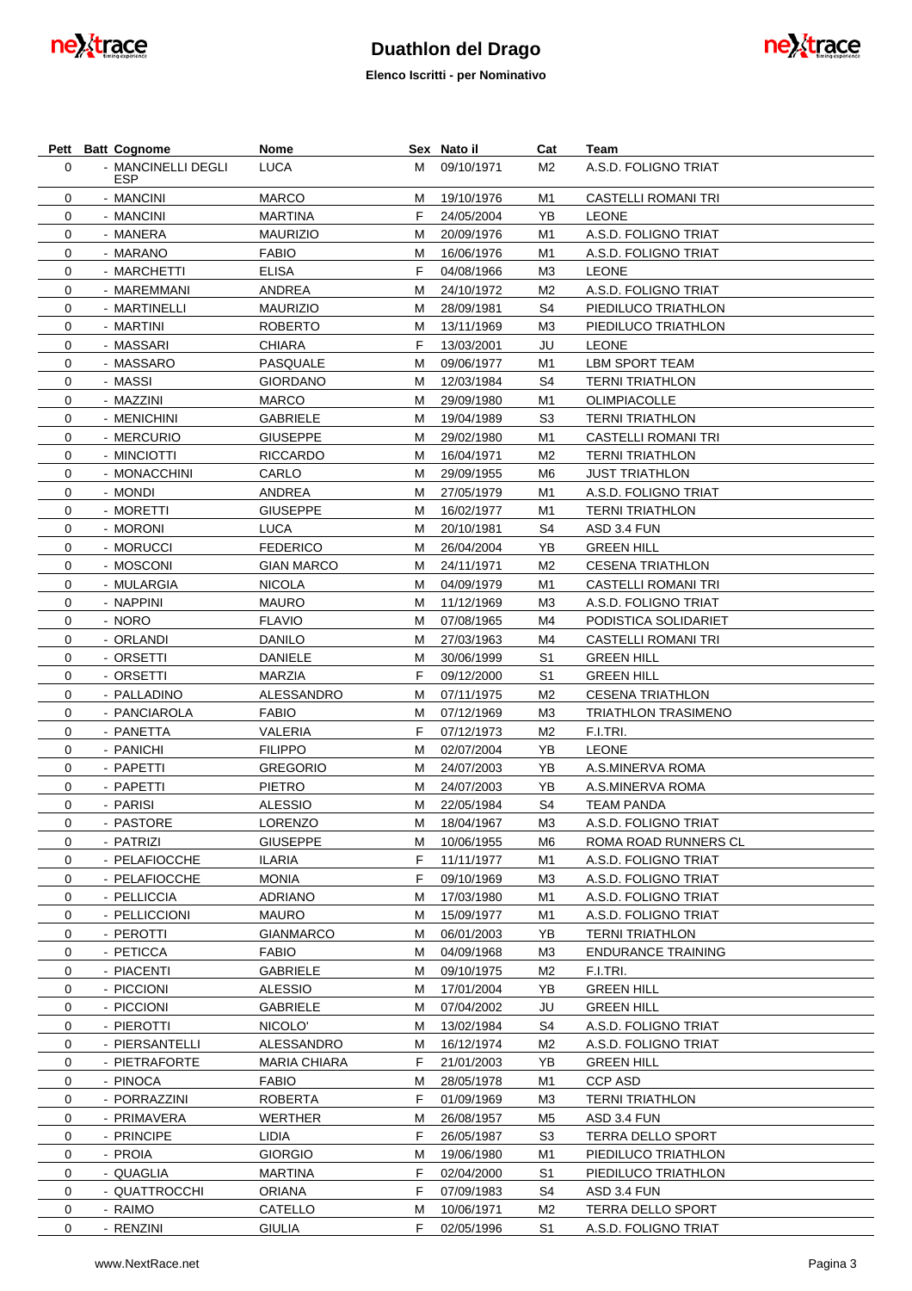



|          | Pett Batt Cognome            | Nome                           |        | Sex Nato il              | Cat            | Team                                                 |
|----------|------------------------------|--------------------------------|--------|--------------------------|----------------|------------------------------------------------------|
| $\Omega$ | - MANCINELLI DEGLI           | LUCA                           | м      | 09/10/1971               | M2             | A.S.D. FOLIGNO TRIAT                                 |
|          | <b>ESP</b>                   |                                |        |                          |                |                                                      |
| 0        | - MANCINI                    | <b>MARCO</b>                   | м      | 19/10/1976               | M1             | <b>CASTELLI ROMANI TRI</b>                           |
| 0        | - MANCINI                    | <b>MARTINA</b>                 | F      | 24/05/2004               | YB             | <b>LEONE</b>                                         |
| 0        | - MANERA                     | <b>MAURIZIO</b>                | м      | 20/09/1976               | M1             | A.S.D. FOLIGNO TRIAT                                 |
| 0        | - MARANO                     | <b>FABIO</b>                   | м<br>F | 16/06/1976               | M1             | A.S.D. FOLIGNO TRIAT                                 |
| 0        | - MARCHETTI                  | ELISA                          |        | 04/08/1966               | M3             | <b>LEONE</b>                                         |
| 0        | - MAREMMANI                  | ANDREA                         | м      | 24/10/1972               | M <sub>2</sub> | A.S.D. FOLIGNO TRIAT                                 |
| 0        | - MARTINELLI                 | <b>MAURIZIO</b>                | м      | 28/09/1981               | S4             | PIEDILUCO TRIATHLON                                  |
| 0        | - MARTINI                    | <b>ROBERTO</b>                 | м      | 13/11/1969               | M3             | PIEDILUCO TRIATHLON                                  |
| 0        | - MASSARI                    | CHIARA                         | F      | 13/03/2001               | JU             | <b>LEONE</b>                                         |
| 0<br>0   | - MASSARO<br>- MASSI         | PASQUALE<br><b>GIORDANO</b>    | м      | 09/06/1977<br>12/03/1984 | M1<br>S4       | LBM SPORT TEAM<br><b>TERNI TRIATHLON</b>             |
|          |                              |                                | м      |                          |                |                                                      |
| 0        | - MAZZINI                    | <b>MARCO</b>                   | м      | 29/09/1980               | M1<br>S3       | OLIMPIACOLLE                                         |
| 0        | - MENICHINI                  | <b>GABRIELE</b>                | м      | 19/04/1989               |                | <b>TERNI TRIATHLON</b><br><b>CASTELLI ROMANI TRI</b> |
| 0        | - MERCURIO                   | <b>GIUSEPPE</b>                | м      | 29/02/1980               | M1             |                                                      |
| 0        | - MINCIOTTI                  | <b>RICCARDO</b>                | м      | 16/04/1971               | M <sub>2</sub> | <b>TERNI TRIATHLON</b>                               |
| 0        | - MONACCHINI                 | CARLO                          | м      | 29/09/1955               | M6             | <b>JUST TRIATHLON</b>                                |
| 0        | - MONDI                      | ANDREA                         | м      | 27/05/1979               | M1             | A.S.D. FOLIGNO TRIAT                                 |
| 0        | - MORETTI                    | <b>GIUSEPPE</b>                | м      | 16/02/1977               | M1             | <b>TERNI TRIATHLON</b>                               |
| 0        | - MORONI                     | LUCA                           | м      | 20/10/1981               | S4             | ASD 3.4 FUN                                          |
| 0        | - MORUCCI                    | <b>FEDERICO</b>                | м      | 26/04/2004               | YB             | <b>GREEN HILL</b>                                    |
| 0        | - MOSCONI                    | <b>GIAN MARCO</b>              | м      | 24/11/1971               | M <sub>2</sub> | <b>CESENA TRIATHLON</b>                              |
| 0        | - MULARGIA                   | <b>NICOLA</b>                  | м      | 04/09/1979               | M1             | <b>CASTELLI ROMANI TRI</b>                           |
| 0        | - NAPPINI                    | <b>MAURO</b>                   | м      | 11/12/1969               | MЗ             | A.S.D. FOLIGNO TRIAT                                 |
| 0        | - NORO                       | <b>FLAVIO</b>                  | м      | 07/08/1965               | M4             | PODISTICA SOLIDARIET                                 |
| 0        | - ORLANDI                    | DANILO                         | м      | 27/03/1963               | M4             | <b>CASTELLI ROMANI TRI</b>                           |
| 0        | - ORSETTI                    | DANIELE                        | м      | 30/06/1999               | S1             | <b>GREEN HILL</b>                                    |
| 0        | - ORSETTI                    | <b>MARZIA</b>                  | F      | 09/12/2000               | S1             | <b>GREEN HILL</b>                                    |
| 0        | - PALLADINO                  | ALESSANDRO                     | м      | 07/11/1975               | M <sub>2</sub> | <b>CESENA TRIATHLON</b>                              |
| 0        | - PANCIAROLA                 | <b>FABIO</b>                   | м      | 07/12/1969               | M3             | <b>TRIATHLON TRASIMENO</b>                           |
| 0        | - PANETTA                    | VALERIA                        | F      | 07/12/1973               | M <sub>2</sub> | F.I.TRI.                                             |
| 0        | - PANICHI                    | <b>FILIPPO</b>                 | м      | 02/07/2004               | YB             | <b>LEONE</b>                                         |
| 0        | - PAPETTI                    | <b>GREGORIO</b>                | м      | 24/07/2003               | YB             | A.S.MINERVA ROMA                                     |
| 0        | - PAPETTI                    | PIETRO                         | м      | 24/07/2003               | YB             | A.S.MINERVA ROMA                                     |
| 0        | - PARISI                     | <b>ALESSIO</b>                 | м      | 22/05/1984               | S4             | <b>TEAM PANDA</b>                                    |
| 0        | - PASTORE                    | LORENZO                        | м      | 18/04/1967               | M <sub>3</sub> | A.S.D. FOLIGNO TRIAT                                 |
| 0        | - PATRIZI                    | <b>GIUSEPPE</b>                | м<br>F | 10/06/1955               | M6             | ROMA ROAD RUNNERS CL                                 |
| 0        | - PELAFIOCCHE                | <b>ILARIA</b><br><b>MONIA</b>  |        | 11/11/1977               | M1             | A.S.D. FOLIGNO TRIAT                                 |
| 0        | - PELAFIOCCHE                |                                | F      | 09/10/1969               | M3             | A.S.D. FOLIGNO TRIAT                                 |
| 0        | - PELLICCIA<br>- PELLICCIONI | <b>ADRIANO</b><br><b>MAURO</b> | М      | 17/03/1980<br>15/09/1977 | M1             | A.S.D. FOLIGNO TRIAT<br>A.S.D. FOLIGNO TRIAT         |
| 0<br>0   | - PEROTTI                    | <b>GIANMARCO</b>               | м<br>м | 06/01/2003               | M1<br>YB       | <b>TERNI TRIATHLON</b>                               |
| 0        | - PETICCA                    | FABIO                          | м      | 04/09/1968               | ΜЗ             | <b>ENDURANCE TRAINING</b>                            |
|          | - PIACENTI                   |                                |        |                          |                |                                                      |
| 0        |                              | <b>GABRIELE</b>                | М      | 09/10/1975<br>17/01/2004 | M <sub>2</sub> | F.I.TRI.                                             |
| 0        | - PICCIONI<br>- PICCIONI     | <b>ALESSIO</b>                 | М      |                          | YB             | <b>GREEN HILL</b>                                    |
| 0        |                              | <b>GABRIELE</b>                | М      | 07/04/2002               | JU             | <b>GREEN HILL</b>                                    |
| 0        | - PIEROTTI                   | NICOLO'                        | М      | 13/02/1984               | S4             | A.S.D. FOLIGNO TRIAT                                 |
| 0        | - PIERSANTELLI               | ALESSANDRO                     | М      | 16/12/1974               | M <sub>2</sub> | A.S.D. FOLIGNO TRIAT                                 |
| 0        | - PIETRAFORTE                | <b>MARIA CHIARA</b>            | F      | 21/01/2003               | YB             | <b>GREEN HILL</b>                                    |
| 0        | - PINOCA                     | <b>FABIO</b>                   | M      | 28/05/1978               | M1             | <b>CCP ASD</b>                                       |
| 0        | - PORRAZZINI                 | <b>ROBERTA</b>                 | F      | 01/09/1969               | MЗ             | <b>TERNI TRIATHLON</b>                               |
| 0        | - PRIMAVERA                  | <b>WERTHER</b>                 | M      | 26/08/1957               | M5             | ASD 3.4 FUN                                          |
| 0        | - PRINCIPE                   | LIDIA                          | F      | 26/05/1987               | S3             | TERRA DELLO SPORT                                    |
| 0        | - PROIA                      | <b>GIORGIO</b>                 | M      | 19/06/1980               | M1             | PIEDILUCO TRIATHLON                                  |
| 0        | - QUAGLIA                    | <b>MARTINA</b>                 | F      | 02/04/2000               | S1             | PIEDILUCO TRIATHLON                                  |
| 0        | - QUATTROCCHI                | <b>ORIANA</b>                  | F      | 07/09/1983               | S4             | ASD 3.4 FUN                                          |
| 0        | - RAIMO                      | CATELLO                        | M      | 10/06/1971               | M2             | TERRA DELLO SPORT                                    |
| 0        | - RENZINI                    | <b>GIULIA</b>                  | F      | 02/05/1996               | S1             | A.S.D. FOLIGNO TRIAT                                 |

ne<sub>t</sub>trace